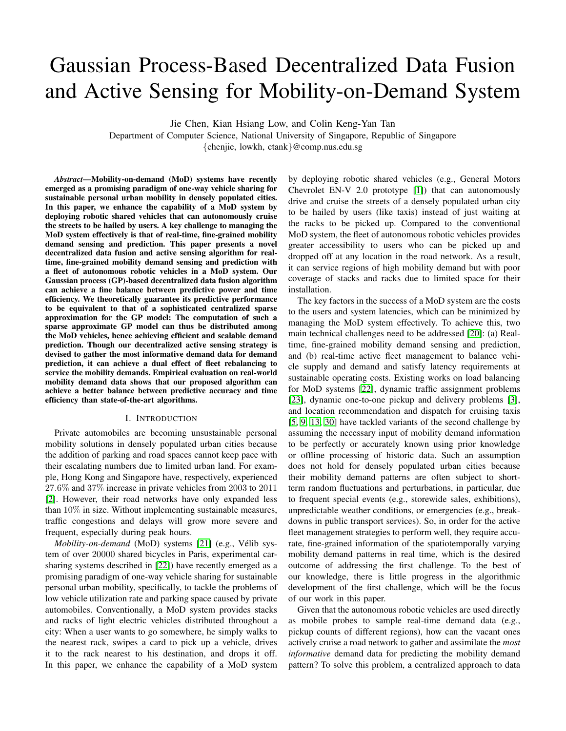# Gaussian Process-Based Decentralized Data Fusion and Active Sensing for Mobility-on-Demand System

Jie Chen, Kian Hsiang Low, and Colin Keng-Yan Tan

Department of Computer Science, National University of Singapore, Republic of Singapore {chenjie, lowkh, ctank}@comp.nus.edu.sg

*Abstract*—Mobility-on-demand (MoD) systems have recently emerged as a promising paradigm of one-way vehicle sharing for sustainable personal urban mobility in densely populated cities. In this paper, we enhance the capability of a MoD system by deploying robotic shared vehicles that can autonomously cruise the streets to be hailed by users. A key challenge to managing the MoD system effectively is that of real-time, fine-grained mobility demand sensing and prediction. This paper presents a novel decentralized data fusion and active sensing algorithm for realtime, fine-grained mobility demand sensing and prediction with a fleet of autonomous robotic vehicles in a MoD system. Our Gaussian process (GP)-based decentralized data fusion algorithm can achieve a fine balance between predictive power and time efficiency. We theoretically guarantee its predictive performance to be equivalent to that of a sophisticated centralized sparse approximation for the GP model: The computation of such a sparse approximate GP model can thus be distributed among the MoD vehicles, hence achieving efficient and scalable demand prediction. Though our decentralized active sensing strategy is devised to gather the most informative demand data for demand prediction, it can achieve a dual effect of fleet rebalancing to service the mobility demands. Empirical evaluation on real-world mobility demand data shows that our proposed algorithm can achieve a better balance between predictive accuracy and time efficiency than state-of-the-art algorithms.

#### I. INTRODUCTION

Private automobiles are becoming unsustainable personal mobility solutions in densely populated urban cities because the addition of parking and road spaces cannot keep pace with their escalating numbers due to limited urban land. For example, Hong Kong and Singapore have, respectively, experienced 27.6% and 37% increase in private vehicles from 2003 to 2011 [\[2\]](#page-7-0). However, their road networks have only expanded less than 10% in size. Without implementing sustainable measures, traffic congestions and delays will grow more severe and frequent, especially during peak hours.

*Mobility-on-demand* (MoD) systems [\[21\]](#page-7-1) (e.g., Vélib system of over 20000 shared bicycles in Paris, experimental carsharing systems described in [\[22\]](#page-7-2)) have recently emerged as a promising paradigm of one-way vehicle sharing for sustainable personal urban mobility, specifically, to tackle the problems of low vehicle utilization rate and parking space caused by private automobiles. Conventionally, a MoD system provides stacks and racks of light electric vehicles distributed throughout a city: When a user wants to go somewhere, he simply walks to the nearest rack, swipes a card to pick up a vehicle, drives it to the rack nearest to his destination, and drops it off. In this paper, we enhance the capability of a MoD system

by deploying robotic shared vehicles (e.g., General Motors Chevrolet EN-V 2.0 prototype [\[1\]](#page-7-3)) that can autonomously drive and cruise the streets of a densely populated urban city to be hailed by users (like taxis) instead of just waiting at the racks to be picked up. Compared to the conventional MoD system, the fleet of autonomous robotic vehicles provides greater accessibility to users who can be picked up and dropped off at any location in the road network. As a result, it can service regions of high mobility demand but with poor coverage of stacks and racks due to limited space for their installation.

The key factors in the success of a MoD system are the costs to the users and system latencies, which can be minimized by managing the MoD system effectively. To achieve this, two main technical challenges need to be addressed [\[20\]](#page-7-4): (a) Realtime, fine-grained mobility demand sensing and prediction, and (b) real-time active fleet management to balance vehicle supply and demand and satisfy latency requirements at sustainable operating costs. Existing works on load balancing for MoD systems [\[22\]](#page-7-2), dynamic traffic assignment problems [\[23\]](#page-7-5), dynamic one-to-one pickup and delivery problems [\[3\]](#page-7-6), and location recommendation and dispatch for cruising taxis [\[5,](#page-7-7) [9,](#page-7-8) [13,](#page-7-9) [30\]](#page-7-10) have tackled variants of the second challenge by assuming the necessary input of mobility demand information to be perfectly or accurately known using prior knowledge or offline processing of historic data. Such an assumption does not hold for densely populated urban cities because their mobility demand patterns are often subject to shortterm random fluctuations and perturbations, in particular, due to frequent special events (e.g., storewide sales, exhibitions), unpredictable weather conditions, or emergencies (e.g., breakdowns in public transport services). So, in order for the active fleet management strategies to perform well, they require accurate, fine-grained information of the spatiotemporally varying mobility demand patterns in real time, which is the desired outcome of addressing the first challenge. To the best of our knowledge, there is little progress in the algorithmic development of the first challenge, which will be the focus of our work in this paper.

Given that the autonomous robotic vehicles are used directly as mobile probes to sample real-time demand data (e.g., pickup counts of different regions), how can the vacant ones actively cruise a road network to gather and assimilate the *most informative* demand data for predicting the mobility demand pattern? To solve this problem, a centralized approach to data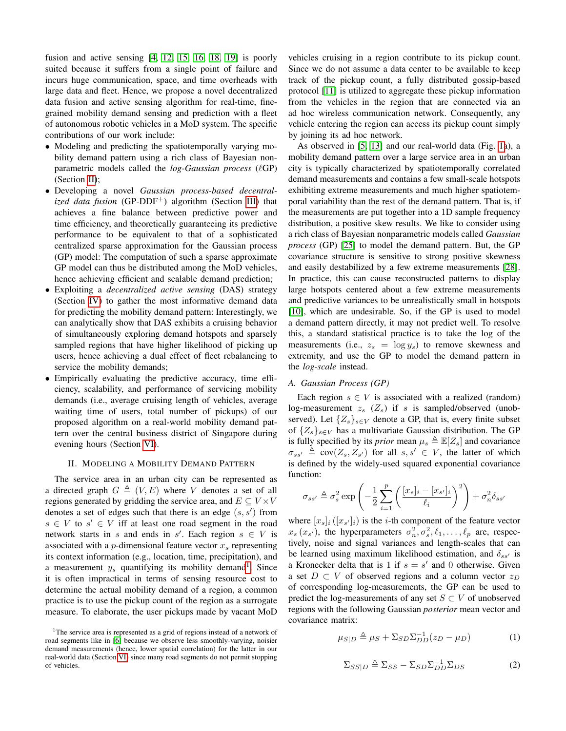fusion and active sensing [\[4,](#page-7-11) [12,](#page-7-12) [15,](#page-7-13) [16,](#page-7-14) [18,](#page-7-15) [19\]](#page-7-16) is poorly suited because it suffers from a single point of failure and incurs huge communication, space, and time overheads with large data and fleet. Hence, we propose a novel decentralized data fusion and active sensing algorithm for real-time, finegrained mobility demand sensing and prediction with a fleet of autonomous robotic vehicles in a MoD system. The specific contributions of our work include:

- Modeling and predicting the spatiotemporally varying mobility demand pattern using a rich class of Bayesian nonparametric models called the *log-Gaussian process* ( $\ell$ GP) (Section [II\)](#page-1-0);
- Developing a novel *Gaussian process-based decentralized data fusion* (GP-DDF<sup>+</sup>) algorithm (Section [III\)](#page-2-0) that achieves a fine balance between predictive power and time efficiency, and theoretically guaranteeing its predictive performance to be equivalent to that of a sophisticated centralized sparse approximation for the Gaussian process (GP) model: The computation of such a sparse approximate GP model can thus be distributed among the MoD vehicles, hence achieving efficient and scalable demand prediction;
- Exploiting a *decentralized active sensing* (DAS) strategy (Section [IV\)](#page-3-0) to gather the most informative demand data for predicting the mobility demand pattern: Interestingly, we can analytically show that DAS exhibits a cruising behavior of simultaneously exploring demand hotspots and sparsely sampled regions that have higher likelihood of picking up users, hence achieving a dual effect of fleet rebalancing to service the mobility demands;
- Empirically evaluating the predictive accuracy, time efficiency, scalability, and performance of servicing mobility demands (i.e., average cruising length of vehicles, average waiting time of users, total number of pickups) of our proposed algorithm on a real-world mobility demand pattern over the central business district of Singapore during evening hours (Section [VI\)](#page-5-0).

#### II. MODELING A MOBILITY DEMAND PATTERN

<span id="page-1-0"></span>The service area in an urban city can be represented as a directed graph  $G \triangleq (V, E)$  where V denotes a set of all regions generated by gridding the service area, and  $E \subseteq V \times V$ denotes a set of edges such that there is an edge  $(s, s')$  from  $s \in V$  to  $s' \in V$  iff at least one road segment in the road network starts in s and ends in s'. Each region  $s \in V$  is associated with a *p*-dimensional feature vector  $x_s$  representing its context information (e.g., location, time, precipitation), and a measurement  $y_s$  quantifying its mobility demand<sup>[1](#page-1-1)</sup>. Since it is often impractical in terms of sensing resource cost to determine the actual mobility demand of a region, a common practice is to use the pickup count of the region as a surrogate measure. To elaborate, the user pickups made by vacant MoD vehicles cruising in a region contribute to its pickup count. Since we do not assume a data center to be available to keep track of the pickup count, a fully distributed gossip-based protocol [\[11\]](#page-7-18) is utilized to aggregate these pickup information from the vehicles in the region that are connected via an ad hoc wireless communication network. Consequently, any vehicle entering the region can access its pickup count simply by joining its ad hoc network.

As observed in [\[5,](#page-7-7) [13\]](#page-7-9) and our real-world data (Fig. [1a](#page-5-1)), a mobility demand pattern over a large service area in an urban city is typically characterized by spatiotemporally correlated demand measurements and contains a few small-scale hotspots exhibiting extreme measurements and much higher spatiotemporal variability than the rest of the demand pattern. That is, if the measurements are put together into a 1D sample frequency distribution, a positive skew results. We like to consider using a rich class of Bayesian nonparametric models called *Gaussian process* (GP) [\[25\]](#page-7-19) to model the demand pattern. But, the GP covariance structure is sensitive to strong positive skewness and easily destabilized by a few extreme measurements [\[28\]](#page-7-20). In practice, this can cause reconstructed patterns to display large hotspots centered about a few extreme measurements and predictive variances to be unrealistically small in hotspots [\[10\]](#page-7-21), which are undesirable. So, if the GP is used to model a demand pattern directly, it may not predict well. To resolve this, a standard statistical practice is to take the log of the measurements (i.e.,  $z_s = \log y_s$ ) to remove skewness and extremity, and use the GP to model the demand pattern in the *log-scale* instead.

#### *A. Gaussian Process (GP)*

Each region  $s \in V$  is associated with a realized (random) log-measurement  $z_s$  ( $Z_s$ ) if s is sampled/observed (unobserved). Let  $\{Z_s\}_{s\in V}$  denote a GP, that is, every finite subset of  $\{Z_s\}_{s\in V}$  has a multivariate Gaussian distribution. The GP is fully specified by its *prior* mean  $\mu_s \triangleq \mathbb{E}[Z_s]$  and covariance  $\sigma_{ss'} \triangleq cov(Z_s, Z_{s'})$  for all  $s, s' \in V$ , the latter of which is defined by the widely-used squared exponential covariance function:

$$
\sigma_{ss'} \triangleq \sigma_s^2 \exp\left(-\frac{1}{2}\sum_{i=1}^p\left(\frac{[x_s]_i - [x_{s'}]_i}{\ell_i}\right)^2\right) + \sigma_n^2 \delta_{ss'}
$$

where  $[x_s]_i$  ( $[x_{s'}]_i$ ) is the *i*-th component of the feature vector  $x_s(x_{s})$ , the hyperparameters  $\sigma_n^2, \sigma_s^2, \ell_1, \ldots, \ell_p$  are, respectively, noise and signal variances and length-scales that can be learned using maximum likelihood estimation, and  $\delta_{ss}$  is a Kronecker delta that is 1 if  $s = s'$  and 0 otherwise. Given a set  $D \subset V$  of observed regions and a column vector  $z_D$ of corresponding log-measurements, the GP can be used to predict the log-measurements of any set  $S \subset V$  of unobserved regions with the following Gaussian *posterior* mean vector and covariance matrix:

<span id="page-1-3"></span><span id="page-1-2"></span>
$$
\mu_{S|D} \triangleq \mu_S + \Sigma_{SD} \Sigma_{DD}^{-1} (z_D - \mu_D) \tag{1}
$$

$$
\Sigma_{SS|D} \triangleq \Sigma_{SS} - \Sigma_{SD} \Sigma_{DD}^{-1} \Sigma_{DS} \tag{2}
$$

<span id="page-1-1"></span><sup>&</sup>lt;sup>1</sup>The service area is represented as a grid of regions instead of a network of road segments like in [\[6\]](#page-7-17) because we observe less smoothly-varying, noisier demand measurements (hence, lower spatial correlation) for the latter in our real-world data (Section [VI\)](#page-5-0) since many road segments do not permit stopping of vehicles.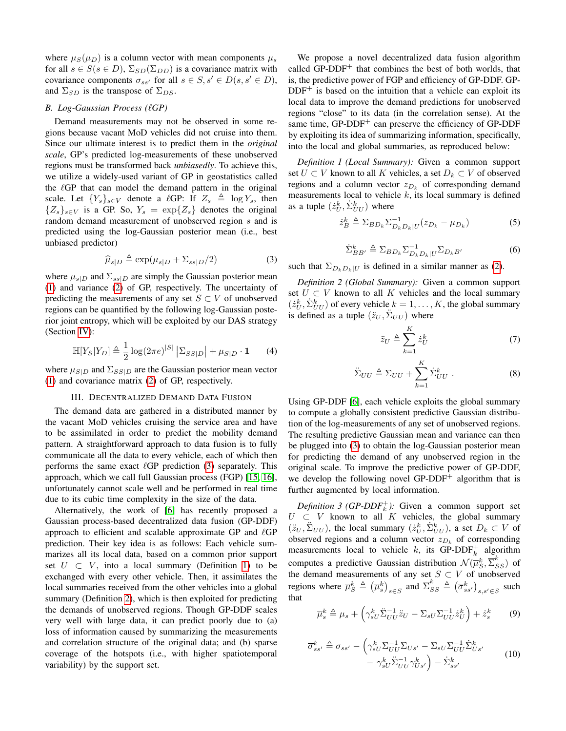where  $\mu_S(\mu_D)$  is a column vector with mean components  $\mu_s$ for all  $s \in S(s \in D)$ ,  $\Sigma_{SD}(\Sigma_{DD})$  is a covariance matrix with covariance components  $\sigma_{ss'}$  for all  $s \in S$ ,  $s' \in D(s, s' \in D)$ , and  $\Sigma_{SD}$  is the transpose of  $\Sigma_{DS}$ .

# *B. Log-Gaussian Process (*`*GP)*

Demand measurements may not be observed in some regions because vacant MoD vehicles did not cruise into them. Since our ultimate interest is to predict them in the *original scale*, GP's predicted log-measurements of these unobserved regions must be transformed back *unbiasedly*. To achieve this, we utilize a widely-used variant of GP in geostatistics called the  $\ell$ GP that can model the demand pattern in the original scale. Let  ${Y_s}_{s \in V}$  denote a  $\ell$ GP: If  $Z_s \triangleq \log Y_s$ , then  ${Z_s}_{s \in V}$  is a GP. So,  $Y_s = \exp{Z_s}$  denotes the original random demand measurement of unobserved region s and is predicted using the log-Gaussian posterior mean (i.e., best unbiased predictor)

<span id="page-2-1"></span>
$$
\widehat{\mu}_{s|D} \triangleq \exp(\mu_{s|D} + \Sigma_{ss|D}/2) \tag{3}
$$

where  $\mu_{s|D}$  and  $\Sigma_{ss|D}$  are simply the Gaussian posterior mean [\(1\)](#page-1-2) and variance [\(2\)](#page-1-3) of GP, respectively. The uncertainty of predicting the measurements of any set  $S \subset V$  of unobserved regions can be quantified by the following log-Gaussian posterior joint entropy, which will be exploited by our DAS strategy (Section [IV\)](#page-3-0):

<span id="page-2-6"></span>
$$
\mathbb{H}[Y_S|Y_D] \triangleq \frac{1}{2} \log(2\pi e)^{|S|} |\Sigma_{SS|D}| + \mu_{S|D} \cdot \mathbf{1}
$$
 (4)

where  $\mu_{S|D}$  and  $\Sigma_{SS|D}$  are the Gaussian posterior mean vector [\(1\)](#page-1-2) and covariance matrix [\(2\)](#page-1-3) of GP, respectively.

# III. DECENTRALIZED DEMAND DATA FUSION

<span id="page-2-0"></span>The demand data are gathered in a distributed manner by the vacant MoD vehicles cruising the service area and have to be assimilated in order to predict the mobility demand pattern. A straightforward approach to data fusion is to fully communicate all the data to every vehicle, each of which then performs the same exact  $\ell$ GP prediction [\(3\)](#page-2-1) separately. This approach, which we call full Gaussian process (FGP) [\[15,](#page-7-13) [16\]](#page-7-14), unfortunately cannot scale well and be performed in real time due to its cubic time complexity in the size of the data.

Alternatively, the work of [\[6\]](#page-7-17) has recently proposed a Gaussian process-based decentralized data fusion (GP-DDF) approach to efficient and scalable approximate GP and  $\ell$ GP prediction. Their key idea is as follows: Each vehicle summarizes all its local data, based on a common prior support set  $U \subset V$ , into a local summary (Definition [1\)](#page-2-2) to be exchanged with every other vehicle. Then, it assimilates the local summaries received from the other vehicles into a global summary (Definition [2\)](#page-2-3), which is then exploited for predicting the demands of unobserved regions. Though GP-DDF scales very well with large data, it can predict poorly due to (a) loss of information caused by summarizing the measurements and correlation structure of the original data; and (b) sparse coverage of the hotspots (i.e., with higher spatiotemporal variability) by the support set.

We propose a novel decentralized data fusion algorithm called  $GP-DDF<sup>+</sup>$  that combines the best of both worlds, that is, the predictive power of FGP and efficiency of GP-DDF. GP- $DDF<sup>+</sup>$  is based on the intuition that a vehicle can exploit its local data to improve the demand predictions for unobserved regions "close" to its data (in the correlation sense). At the same time,  $GP-DDF<sup>+</sup>$  can preserve the efficiency of  $GP-DDF$ by exploiting its idea of summarizing information, specifically, into the local and global summaries, as reproduced below:

*Definition 1 (Local Summary):* Given a common support set  $U \subset V$  known to all K vehicles, a set  $D_k \subset V$  of observed regions and a column vector  $z_{D_k}$  of corresponding demand measurements local to vehicle  $k$ , its local summary is defined as a tuple  $(\dot{z}_U^k, \dot{\Sigma}_{UU}^k)$  where

<span id="page-2-7"></span>
$$
\dot{z}_B^k \triangleq \sum_{BD_k} \sum_{D_k D_k}^{-1} (z_{D_k} - \mu_{D_k}) \tag{5}
$$

$$
\dot{\Sigma}_{BB'}^k \triangleq \Sigma_{BD_k} \Sigma_{D_k D_k | U}^{-1} \Sigma_{D_k B'} \tag{6}
$$

<span id="page-2-2"></span>such that  $\Sigma_{D_kD_k|U}$  is defined in a similar manner as [\(2\)](#page-1-3).

*Definition 2 (Global Summary):* Given a common support set  $U \subset V$  known to all K vehicles and the local summary  $(\dot{z}_U^k, \dot{\Sigma}_{UU}^k)$  of every vehicle  $k = 1, ..., K$ , the global summary is defined as a tuple  $(\ddot{z}_U, \ddot{\Sigma}_{UU})$  where

<span id="page-2-8"></span>
$$
\ddot{z}_U \triangleq \sum_{k=1}^K \dot{z}_U^k \tag{7}
$$

$$
\ddot{\Sigma}_{UU} \triangleq \Sigma_{UU} + \sum_{k=1}^{K} \dot{\Sigma}_{UU}^k . \tag{8}
$$

<span id="page-2-3"></span>Using GP-DDF [\[6\]](#page-7-17), each vehicle exploits the global summary to compute a globally consistent predictive Gaussian distribution of the log-measurements of any set of unobserved regions. The resulting predictive Gaussian mean and variance can then be plugged into [\(3\)](#page-2-1) to obtain the log-Gaussian posterior mean for predicting the demand of any unobserved region in the original scale. To improve the predictive power of GP-DDF, we develop the following novel  $GP-DDF^+$  algorithm that is further augmented by local information.

*Definition 3 (GP-DDF*<sup> $+$ </sup>): Given a common support set  $U \subset V$  known to all K vehicles, the global summary  $(\ddot{z}_U, \ddot{\Sigma}_{UU})$ , the local summary  $(\dot{z}_U^k, \dot{\Sigma}_{UU}^k)$ , a set  $D_k \subset V$  of observed regions and a column vector  $z_{D_k}$  of corresponding measurements local to vehicle k, its GP-DDF<sup>+</sup> algorithm computes a predictive Gaussian distribution  $\mathcal{N}(\overline{\mu}_{S}^{k},\overline{\Sigma}_{SS}^{k})$  of the demand measurements of any set  $S \subset V$  of unobserved regions where  $\overline{\mu}_S^k \triangleq (\overline{\mu}_s^k)_{s \in S}$  and  $\overline{\Sigma}_{SS}^k \triangleq (\overline{\sigma}_{ss'}^k)_{s,s' \in S}$  such that

<span id="page-2-4"></span>
$$
\overline{\mu}_s^k \triangleq \mu_s + \left(\gamma_{sU}^k \ddot{\Sigma}_{UU}^{-1} \ddot{z}_U - \Sigma_{sU} \Sigma_{UU}^{-1} \dot{z}_U^k\right) + \dot{z}_s^k \tag{9}
$$

<span id="page-2-5"></span>
$$
\overline{\sigma}_{ss'}^k \triangleq \sigma_{ss'} - \left(\gamma_{sU}^k \Sigma_{UU}^{-1} \Sigma_{Us'} - \Sigma_{sU} \Sigma_{UU}^{-1} \dot{\Sigma}_{Us'}^k - \gamma_{sU}^k \ddot{\Sigma}_{UU}^{-1} \gamma_{Us'}^k\right) - \dot{\Sigma}_{ss'}^k \tag{10}
$$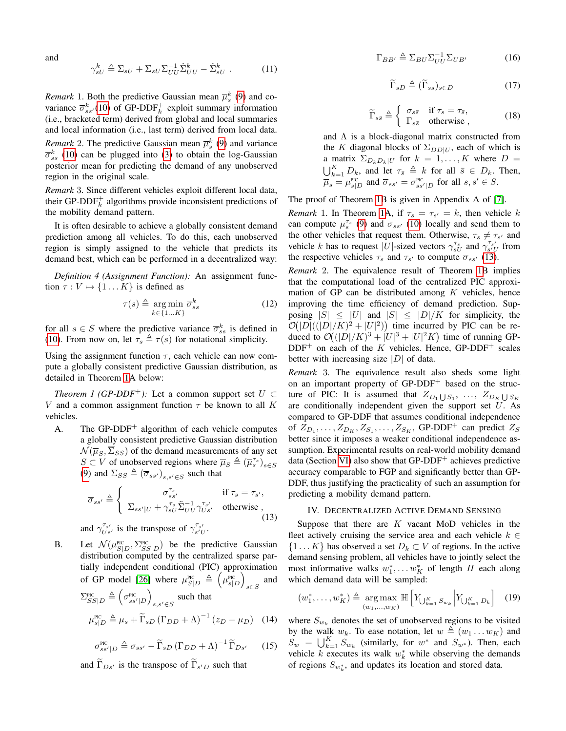<span id="page-3-5"></span>and

$$
\gamma_{sU}^k \triangleq \Sigma_{sU} + \Sigma_{sU} \Sigma_{UU}^{-1} \dot{\Sigma}_{UU}^k - \dot{\Sigma}_{sU}^k . \tag{11}
$$

*Remark* 1. Both the predictive Gaussian mean  $\overline{\mu}_s^k$  [\(9\)](#page-2-4) and covariance  $\overline{\sigma}_{ss}^k(10)$  $\overline{\sigma}_{ss}^k(10)$  of GP-DDF<sup>+</sup> exploit summary information (i.e., bracketed term) derived from global and local summaries and local information (i.e., last term) derived from local data. *Remark* 2. The predictive Gaussian mean  $\overline{\mu}_s^k$  [\(9\)](#page-2-4) and variance  $\overline{\sigma}_{ss}^{k}$  [\(10\)](#page-2-5) can be plugged into [\(3\)](#page-2-1) to obtain the log-Gaussian posterior mean for predicting the demand of any unobserved region in the original scale.

*Remark* 3. Since different vehicles exploit different local data, their GP-DDF $_k^+$  algorithms provide inconsistent predictions of the mobility demand pattern.

It is often desirable to achieve a globally consistent demand prediction among all vehicles. To do this, each unobserved region is simply assigned to the vehicle that predicts its demand best, which can be performed in a decentralized way:

*Definition 4 (Assignment Function):* An assignment function  $\tau : V \mapsto \{1 \dots K\}$  is defined as

<span id="page-3-4"></span><span id="page-3-1"></span>
$$
\tau(s) \triangleq \underset{k \in \{1...K\}}{\arg \min} \overline{\sigma}_{ss}^k \tag{12}
$$

for all  $s \in S$  where the predictive variance  $\overline{\sigma}_{ss}^k$  is defined in [\(10\)](#page-2-5). From now on, let  $\tau_s \triangleq \tau(s)$  for notational simplicity.

Using the assignment function  $\tau$ , each vehicle can now compute a globally consistent predictive Gaussian distribution, as detailed in Theorem [1A](#page-3-1) below:

*Theorem 1 (GP-DDF<sup>+</sup>):* Let a common support set  $U \subset$ V and a common assignment function  $\tau$  be known to all K vehicles.

A. The GP-DDF<sup>+</sup> algorithm of each vehicle computes a globally consistent predictive Gaussian distribution  $\mathcal{N}(\overline{\mu}_S, \Sigma_{SS})$  of the demand measurements of any set  $S \subset V$  of unobserved regions where  $\overline{\mu}_S \triangleq (\overline{\mu}_s^{\tau_s})_{s \in S}$ [\(9\)](#page-2-4) and  $\overline{\Sigma}_{SS} \triangleq (\overline{\sigma}_{ss'})_{s,s' \in S}$  such that

$$
\overline{\sigma}_{ss'} \triangleq \begin{cases}\n\overline{\sigma}_{ss'}^{\tau_s} & \text{if } \tau_s = \tau_{s'}, \\
\sum_{ss'|U} + \gamma_{sU}^{\tau_s} \ddot{\Sigma}_{UU}^{-1} \gamma_{Us'}^{\tau_{s'}} & \text{otherwise }, \\
\text{and } \gamma_{Us'}^{\tau_{s'}} & \text{is the transpose of } \gamma_{s'U}^{\tau_{s'}}.\n\end{cases}
$$
\n(13)

B. Let  $\mathcal{N}(\mu_{S|D}^{\text{Pic}}, \Sigma_{SS|D}^{\text{Pic}})$  be the predictive Gaussian distribution computed by the centralized sparse partially independent conditional (PIC) approximation of GP model [\[26\]](#page-7-22) where  $\mu_{S|D}^{\text{Pic}} \triangleq \left(\mu_{s|D}^{\text{Pic}}\right)$ s∈S and  $\Sigma^{\text{Pic}}_{SS|D} \triangleq \left(\sigma^{\text{Pic}}_{ss'|D}\right)$ s,s' $\in$ S such that  $\mu_{s|D}^{\text{Pic}} \triangleq \mu_s + \widetilde{\Gamma}_{sD} (\Gamma_{DD} + \Lambda)^{-1} (z_D - \mu_D)$  (14)

$$
\sigma_{ss'|D}^{\text{PIC}} \triangleq \sigma_{ss'} - \widetilde{\Gamma}_{sD} \left( \Gamma_{DD} + \Lambda \right)^{-1} \widetilde{\Gamma}_{Ds'} \qquad (15)
$$

and  $\Gamma_{Ds'}$  is the transpose of  $\Gamma_{s'D}$  such that

$$
\Gamma_{BB'} \triangleq \Sigma_{BU} \Sigma_{UU}^{-1} \Sigma_{UB'} \tag{16}
$$

$$
\widetilde{\Gamma}_{sD} \triangleq (\widetilde{\Gamma}_{s\bar{s}})_{\bar{s}\in D} \tag{17}
$$

$$
\widetilde{\Gamma}_{s\bar{s}} \triangleq \begin{cases}\n\sigma_{s\bar{s}} & \text{if } \tau_s = \tau_{\bar{s}}, \\
\Gamma_{s\bar{s}} & \text{otherwise}\n\end{cases}
$$
\n(18)

and  $\Lambda$  is a block-diagonal matrix constructed from the K diagonal blocks of  $\Sigma_{DD|U}$ , each of which is a matrix  $\Sigma_{D_kD_k|U}$  for  $k = 1, ..., K$  where  $D =$  $\bigcup_{k=1}^{K} D_k$ , and let  $\tau_{\bar{s}} \triangleq k$  for all  $\bar{s} \in D_k$ . Then,  $\overline{\mu}_s = \mu_{s|D}^{\text{Pic}}$  and  $\overline{\sigma}_{ss'} = \sigma_{ss'|D}^{\text{Pic}}$  for all  $s, s' \in S$ .

The proof of Theorem [1B](#page-3-1) is given in Appendix A of [\[7\]](#page-7-23).

*Remark* 1. In Theorem [1A](#page-3-1), if  $\tau_s = \tau_{s'} = k$ , then vehicle k can compute  $\overline{\mu}_s^{\tau_s}$  [\(9\)](#page-2-4) and  $\overline{\sigma}_{ss'}$  [\(10\)](#page-2-5) locally and send them to the other vehicles that request them. Otherwise,  $\tau_s \neq \tau_{s'}$  and vehicle k has to request  $|U|$ -sized vectors  $\gamma_{sU}^{\tau_s}$  and  $\gamma_{s'U}^{\tau_{s'}}$  from the respective vehicles  $\tau_s$  and  $\tau_{s'}$  to compute  $\overline{\sigma}_{ss'}$  [\(13\)](#page-3-2).

*Remark* 2. The equivalence result of Theorem [1B](#page-3-1) implies that the computational load of the centralized PIC approximation of GP can be distributed among  $K$  vehicles, hence improving the time efficiency of demand prediction. Supposing  $|S| \leq |U|$  and  $|S| \leq |D|/K$  for simplicity, the  $\mathcal{O}(|D|(|D|/K)^2 + |U|^2)$  time incurred by PIC can be reduced to  $\mathcal{O}((|D|/K)^3 + |U|^3 + |U|^2 K)$  time of running GP- $DDF^+$  on each of the K vehicles. Hence, GP-DDF<sup>+</sup> scales better with increasing size  $|D|$  of data.

*Remark* 3. The equivalence result also sheds some light on an important property of  $GP-DDF$ <sup>+</sup> based on the structure of PIC: It is assumed that  $Z_{D_1 \bigcup S_1}, \ldots, Z_{D_K \bigcup S_K}$ are conditionally independent given the support set  $U$ . As compared to GP-DDF that assumes conditional independence of  $Z_{D_1}, \ldots, Z_{D_K}, Z_{S_1}, \ldots, Z_{S_K}$ , GP-DDF<sup>+</sup> can predict  $Z_S$ better since it imposes a weaker conditional independence assumption. Experimental results on real-world mobility demand data (Section [VI\)](#page-5-0) also show that  $GP-DDF^+$  achieves predictive accuracy comparable to FGP and significantly better than GP-DDF, thus justifying the practicality of such an assumption for predicting a mobility demand pattern.

#### IV. DECENTRALIZED ACTIVE DEMAND SENSING

<span id="page-3-2"></span><span id="page-3-0"></span>Suppose that there are  $K$  vacant MoD vehicles in the fleet actively cruising the service area and each vehicle  $k \in$  $\{1...K\}$  has observed a set  $D_k \subset V$  of regions. In the active demand sensing problem, all vehicles have to jointly select the most informative walks  $w_1^*, \ldots w_K^*$  of length H each along which demand data will be sampled:

<span id="page-3-3"></span>
$$
(w_1^*, \ldots, w_K^*) \triangleq \underset{(w_1, \ldots, w_K)}{\arg \max} \mathbb{H} \left[ Y_{\bigcup_{k=1}^K S_{w_k}} \middle| Y_{\bigcup_{k=1}^K D_k} \right] \quad (19)
$$

where  $S_{w_k}$  denotes the set of unobserved regions to be visited by the walk  $w_k$ . To ease notation, let  $w \triangleq (w_1 \dots w_K)$  and  $S_w = \bigcup_{k=1}^K S_{w_k}$  (similarly, for  $w^*$  and  $S_{w^*}$ ). Then, each vehicle  $k$  executes its walk  $w_k^*$  while observing the demands of regions  $S_{w_k^*}$ , and updates its location and stored data.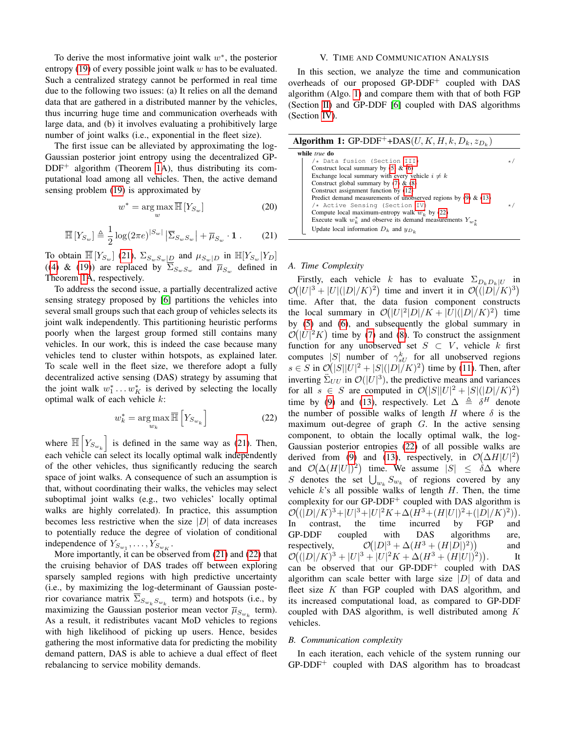To derive the most informative joint walk  $w^*$ , the posterior entropy  $(19)$  of every possible joint walk w has to be evaluated. Such a centralized strategy cannot be performed in real time due to the following two issues: (a) It relies on all the demand data that are gathered in a distributed manner by the vehicles, thus incurring huge time and communication overheads with large data, and (b) it involves evaluating a prohibitively large number of joint walks (i.e., exponential in the fleet size).

The first issue can be alleviated by approximating the log-Gaussian posterior joint entropy using the decentralized GP- $DDF^+$  algorithm (Theorem [1A](#page-3-1)), thus distributing its computational load among all vehicles. Then, the active demand sensing problem [\(19\)](#page-3-3) is approximated by

$$
w^* = \underset{w}{\arg\max} \overline{\mathbb{H}} \left[ Y_{S_w} \right] \tag{20}
$$

<span id="page-4-0"></span>
$$
\overline{\mathbb{H}}\left[Y_{S_w}\right] \triangleq \frac{1}{2}\log(2\pi e)^{|S_w|} \left|\overline{\Sigma}_{S_w S_w}\right| + \overline{\mu}_{S_w} \cdot \mathbf{1} \,. \tag{21}
$$

To obtain  $\mathbb{H}[Y_{S_w}](21)$  $\mathbb{H}[Y_{S_w}](21)$ ,  $\Sigma_{S_wS_w|D}$  and  $\mu_{S_w|D}$  in  $\mathbb{H}[Y_{S_w}|Y_D]$ ([\(4\)](#page-2-6) & [\(19\)](#page-3-3)) are replaced by  $\Sigma_{S_wS_w}$  and  $\overline{\mu}_{S_w}$  defined in Theorem [1A](#page-3-1), respectively.

To address the second issue, a partially decentralized active sensing strategy proposed by [\[6\]](#page-7-17) partitions the vehicles into several small groups such that each group of vehicles selects its joint walk independently. This partitioning heuristic performs poorly when the largest group formed still contains many vehicles. In our work, this is indeed the case because many vehicles tend to cluster within hotspots, as explained later. To scale well in the fleet size, we therefore adopt a fully decentralized active sensing (DAS) strategy by assuming that the joint walk  $w_1^* \dots w_K^*$  is derived by selecting the locally optimal walk of each vehicle k:

<span id="page-4-1"></span>
$$
w_k^* = \underset{w_k}{\text{arg}\max} \overline{\mathbb{H}} \left[ Y_{S_{w_k}} \right] \tag{22}
$$

where  $\overline{\mathbb{H}}\left[Y_{S_{w_k}}\right]$  is defined in the same way as [\(21\)](#page-4-0). Then, each vehicle can select its locally optimal walk independently of the other vehicles, thus significantly reducing the search space of joint walks. A consequence of such an assumption is that, without coordinating their walks, the vehicles may select suboptimal joint walks (e.g., two vehicles' locally optimal walks are highly correlated). In practice, this assumption becomes less restrictive when the size  $|D|$  of data increases to potentially reduce the degree of violation of conditional independence of  $Y_{S_{w_1}}, \ldots, Y_{S_{w_K}}$ .

More importantly, it can be observed from [\(21\)](#page-4-0) and [\(22\)](#page-4-1) that the cruising behavior of DAS trades off between exploring sparsely sampled regions with high predictive uncertainty (i.e., by maximizing the log-determinant of Gaussian posterior covariance matrix  $\Sigma_{S_{w_k}S_{w_k}}$  term) and hotspots (i.e., by maximizing the Gaussian posterior mean vector  $\overline{\mu}_{S_{w_k}}$  term). As a result, it redistributes vacant MoD vehicles to regions with high likelihood of picking up users. Hence, besides gathering the most informative data for predicting the mobility demand pattern, DAS is able to achieve a dual effect of fleet rebalancing to service mobility demands.

## V. TIME AND COMMUNICATION ANALYSIS

<span id="page-4-3"></span>In this section, we analyze the time and communication overheads of our proposed GP-DDF<sup>+</sup> coupled with DAS algorithm (Algo. [1\)](#page-4-2) and compare them with that of both FGP (Section [II\)](#page-1-0) and GP-DDF [\[6\]](#page-7-17) coupled with DAS algorithms (Section [IV\)](#page-3-0).

| <b>Algorithm 1:</b> GP-DDF <sup>+</sup> +DAS( <i>U</i> , <i>K</i> , <i>H</i> , <i>k</i> , <i>D<sub>k</sub></i> , $z_{D_k}$ ) |    |
|------------------------------------------------------------------------------------------------------------------------------|----|
| while true do                                                                                                                |    |
| /* Data fusion (Section III)                                                                                                 |    |
| Construct local summary by $(5)$ & $(6)$                                                                                     |    |
| Exchange local summary with every vehicle $i \neq k$                                                                         |    |
| Construct global summary by $(7)$ & $(8)$                                                                                    |    |
| Construct assignment function by (12)                                                                                        |    |
| Predict demand measurements of unobserved regions by $(9)$ & $(13)$                                                          |    |
| /* Active Sensing (Section IV)                                                                                               | *. |
| Compute local maximum-entropy walk $w_k^*$ by (22)                                                                           |    |
| Execute walk $w_k^*$ and observe its demand measurements $Y_{w_k^*}$                                                         |    |
| Update local information $D_k$ and $y_{D_k}$                                                                                 |    |

#### <span id="page-4-2"></span>*A. Time Complexity*

Firstly, each vehicle k has to evaluate  $\Sigma_{D_kD_k|U}$  in  $\mathcal{O}(|U|^3 + |U|(|D|/K)^2)$  time and invert it in  $\mathcal{O}(|D|/K)^3)$ time. After that, the data fusion component constructs the local summary in  $\mathcal{O}(|U|^2|D|/K + |U|(|D|/K)^2)$  time by [\(5\)](#page-2-7) and [\(6\)](#page-2-2), and subsequently the global summary in  $\mathcal{O}(|U|^2 K)$  time by [\(7\)](#page-2-8) and [\(8\)](#page-2-3). To construct the assignment function for any unobserved set  $S \subset V$ , vehicle k first computes |S| number of  $\gamma_{sU}^{k}$  for all unobserved regions  $s \in S$  in  $\mathcal{O}(|S||U|^2 + |S|(|D|/K)^2)$  time by [\(11\)](#page-3-5). Then, after inverting  $\sum_{UU}$  in  $\mathcal{O}(|U|^3)$ , the predictive means and variances for all  $s \in S$  are computed in  $\mathcal{O}(|S||U|^2 + |S|(|D|/K)^2)$ time by [\(9\)](#page-2-4) and [\(13\)](#page-3-2), respectively. Let  $\Delta \triangleq \delta^H$  denote the number of possible walks of length H where  $\delta$  is the maximum out-degree of graph  $G$ . In the active sensing component, to obtain the locally optimal walk, the log-Gaussian posterior entropies [\(22\)](#page-4-1) of all possible walks are derived from [\(9\)](#page-2-4) and [\(13\)](#page-3-2), respectively, in  $\mathcal{O}(\Delta H |U|^2)$ and  $\mathcal{O}(\Delta(H|U|)^2)$  time. We assume  $|S| \leq \delta \Delta$  where S denotes the set  $\bigcup_{w_k} S_{w_k}$  of regions covered by any vehicle  $k$ 's all possible walks of length  $H$ . Then, the time complexity for our  $GP-DDF^+$  coupled with DAS algorithm is  $\mathcal{O}((|D|/K)^3 + |U|^3 + |U|^2 K + \Delta(H^3 + (H|U|)^2 + (|D|/K)^2)).$ In contrast, the time incurred by FGP and GP-DDF coupled with DAS algorithms are, respectively,  $P(|D|^3 + \Delta(H^3 + (H|D|)^2))$ and  $\mathcal{O}((|D|/K)^3 + |U|^3 + |U|^2K + \Delta(H^3 + (H|U|)^2))$ . It can be observed that our  $GP-DDF^+$  coupled with DAS algorithm can scale better with large size  $|D|$  of data and fleet size  $K$  than FGP coupled with DAS algorithm, and its increased computational load, as compared to GP-DDF coupled with DAS algorithm, is well distributed among  $K$ vehicles.

#### *B. Communication complexity*

In each iteration, each vehicle of the system running our  $GP-DDF<sup>+</sup>$  coupled with DAS algorithm has to broadcast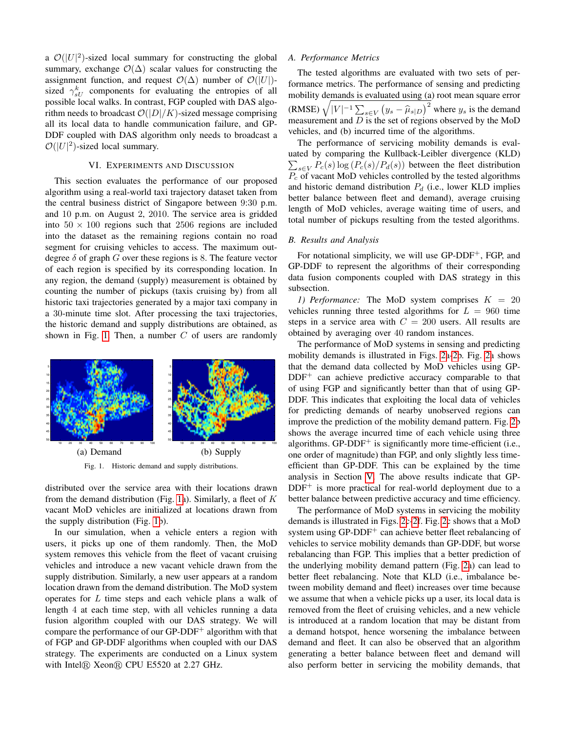a  $\mathcal{O}(|U|^2)$ -sized local summary for constructing the global summary, exchange  $\mathcal{O}(\Delta)$  scalar values for constructing the assignment function, and request  $\mathcal{O}(\Delta)$  number of  $\mathcal{O}(|U|)$ sized  $\gamma_{sU}^{k}$  components for evaluating the entropies of all possible local walks. In contrast, FGP coupled with DAS algorithm needs to broadcast  $\mathcal{O}(|D|/K)$ -sized message comprising all its local data to handle communication failure, and GP-DDF coupled with DAS algorithm only needs to broadcast a  $\mathcal{O}(|U|^2)$ -sized local summary.

#### VI. EXPERIMENTS AND DISCUSSION

<span id="page-5-0"></span>This section evaluates the performance of our proposed algorithm using a real-world taxi trajectory dataset taken from the central business district of Singapore between 9:30 p.m. and 10 p.m. on August 2, 2010. The service area is gridded into  $50 \times 100$  regions such that 2506 regions are included into the dataset as the remaining regions contain no road segment for cruising vehicles to access. The maximum outdegree  $\delta$  of graph G over these regions is 8. The feature vector of each region is specified by its corresponding location. In any region, the demand (supply) measurement is obtained by counting the number of pickups (taxis cruising by) from all historic taxi trajectories generated by a major taxi company in a 30-minute time slot. After processing the taxi trajectories, the historic demand and supply distributions are obtained, as shown in Fig. [1.](#page-5-1) Then, a number  $C$  of users are randomly



<span id="page-5-1"></span>Fig. 1. Historic demand and supply distributions.

distributed over the service area with their locations drawn from the demand distribution (Fig. [1a](#page-5-1)). Similarly, a fleet of  $K$ vacant MoD vehicles are initialized at locations drawn from the supply distribution (Fig. [1b](#page-5-1)).

In our simulation, when a vehicle enters a region with users, it picks up one of them randomly. Then, the MoD system removes this vehicle from the fleet of vacant cruising vehicles and introduce a new vacant vehicle drawn from the supply distribution. Similarly, a new user appears at a random location drawn from the demand distribution. The MoD system operates for L time steps and each vehicle plans a walk of length 4 at each time step, with all vehicles running a data fusion algorithm coupled with our DAS strategy. We will compare the performance of our  $GP-DDF<sup>+</sup>$  algorithm with that of FGP and GP-DDF algorithms when coupled with our DAS strategy. The experiments are conducted on a Linux system with Intel $\circledR$  Xeon $\circledR$  CPU E5520 at 2.27 GHz.

## *A. Performance Metrics*

The tested algorithms are evaluated with two sets of performance metrics. The performance of sensing and predicting mobility demands is evaluated using (a) root mean square error (RMSE)  $\sqrt{|V|^{-1} \sum_{s \in V} (y_s - \hat{\mu}_{s|D})^2}$  where  $y_s$  is the demand measurement and  $D$  is the set of regions observed by the MoD vehicles, and (b) incurred time of the algorithms.

The performance of servicing mobility demands is evaluated by comparing the Kullback-Leibler divergence (KLD)  $\sum_{s \in V} P_c(s) \log \left( P_c(s) / P_d(s) \right)$  between the fleet distribution  $P_c$  of vacant MoD vehicles controlled by the tested algorithms and historic demand distribution  $P_d$  (i.e., lower KLD implies better balance between fleet and demand), average cruising length of MoD vehicles, average waiting time of users, and total number of pickups resulting from the tested algorithms.

#### *B. Results and Analysis*

For notational simplicity, we will use GP-DDF<sup>+</sup>, FGP, and GP-DDF to represent the algorithms of their corresponding data fusion components coupled with DAS strategy in this subsection.

*1) Performance:* The MoD system comprises  $K = 20$ vehicles running three tested algorithms for  $L = 960$  time steps in a service area with  $C = 200$  users. All results are obtained by averaging over 40 random instances.

The performance of MoD systems in sensing and predicting mobility demands is illustrated in Figs. [2a-2b](#page-6-0). Fig. [2a](#page-6-0) shows that the demand data collected by MoD vehicles using GP- $DDF<sup>+</sup>$  can achieve predictive accuracy comparable to that of using FGP and significantly better than that of using GP-DDF. This indicates that exploiting the local data of vehicles for predicting demands of nearby unobserved regions can improve the prediction of the mobility demand pattern. Fig. [2b](#page-6-0) shows the average incurred time of each vehicle using three algorithms.  $GP-DDF<sup>+</sup>$  is significantly more time-efficient (i.e., one order of magnitude) than FGP, and only slightly less timeefficient than GP-DDF. This can be explained by the time analysis in Section [V.](#page-4-3) The above results indicate that GP-DDF<sup>+</sup> is more practical for real-world deployment due to a better balance between predictive accuracy and time efficiency.

The performance of MoD systems in servicing the mobility demands is illustrated in Figs. [2c-2f](#page-6-0). Fig. [2c](#page-6-0) shows that a MoD system using  $GP-DDF^+$  can achieve better fleet rebalancing of vehicles to service mobility demands than GP-DDF, but worse rebalancing than FGP. This implies that a better prediction of the underlying mobility demand pattern (Fig. [2a](#page-6-0)) can lead to better fleet rebalancing. Note that KLD (i.e., imbalance between mobility demand and fleet) increases over time because we assume that when a vehicle picks up a user, its local data is removed from the fleet of cruising vehicles, and a new vehicle is introduced at a random location that may be distant from a demand hotspot, hence worsening the imbalance between demand and fleet. It can also be observed that an algorithm generating a better balance between fleet and demand will also perform better in servicing the mobility demands, that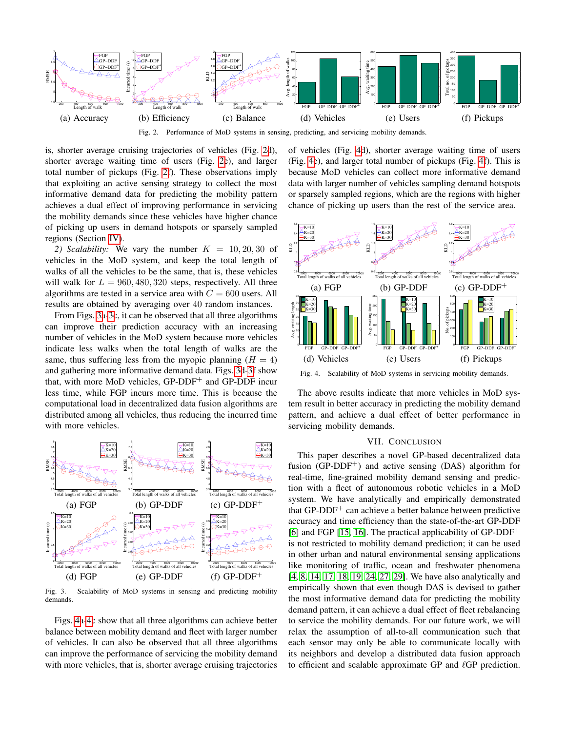

<span id="page-6-0"></span>Fig. 2. Performance of MoD systems in sensing, predicting, and servicing mobility demands.

is, shorter average cruising trajectories of vehicles (Fig. [2d](#page-6-0)), shorter average waiting time of users (Fig. [2e](#page-6-0)), and larger total number of pickups (Fig. [2f](#page-6-0)). These observations imply that exploiting an active sensing strategy to collect the most informative demand data for predicting the mobility pattern achieves a dual effect of improving performance in servicing the mobility demands since these vehicles have higher chance of picking up users in demand hotspots or sparsely sampled regions (Section [IV\)](#page-3-0).

2) Scalability: We vary the number  $K = 10, 20, 30$  of vehicles in the MoD system, and keep the total length of walks of all the vehicles to be the same, that is, these vehicles will walk for  $L = 960, 480, 320$  steps, respectively. All three algorithms are tested in a service area with  $C = 600$  users. All results are obtained by averaging over 40 random instances.

From Figs. [3a-3c](#page-6-1), it can be observed that all three algorithms can improve their prediction accuracy with an increasing number of vehicles in the MoD system because more vehicles indicate less walks when the total length of walks are the same, thus suffering less from the myopic planning  $(H = 4)$ and gathering more informative demand data. Figs. [3d-3f](#page-6-1) show that, with more MoD vehicles,  $GP-DDF<sup>+</sup>$  and  $GP-DDF$  incur less time, while FGP incurs more time. This is because the computational load in decentralized data fusion algorithms are distributed among all vehicles, thus reducing the incurred time with more vehicles.



<span id="page-6-1"></span>Fig. 3. Scalability of MoD systems in sensing and predicting mobility demands.

Figs. [4a-4c](#page-6-2) show that all three algorithms can achieve better balance between mobility demand and fleet with larger number of vehicles. It can also be observed that all three algorithms can improve the performance of servicing the mobility demand with more vehicles, that is, shorter average cruising trajectories of vehicles (Fig. [4d](#page-6-2)), shorter average waiting time of users (Fig. [4e](#page-6-2)), and larger total number of pickups (Fig. [4f](#page-6-2)). This is because MoD vehicles can collect more informative demand data with larger number of vehicles sampling demand hotspots or sparsely sampled regions, which are the regions with higher chance of picking up users than the rest of the service area.



<span id="page-6-2"></span>Fig. 4. Scalability of MoD systems in servicing mobility demands.

The above results indicate that more vehicles in MoD system result in better accuracy in predicting the mobility demand pattern, and achieve a dual effect of better performance in servicing mobility demands.

# VII. CONCLUSION

This paper describes a novel GP-based decentralized data fusion (GP-DDF<sup>+</sup>) and active sensing (DAS) algorithm for real-time, fine-grained mobility demand sensing and prediction with a fleet of autonomous robotic vehicles in a MoD system. We have analytically and empirically demonstrated that GP-DDF<sup>+</sup> can achieve a better balance between predictive accuracy and time efficiency than the state-of-the-art GP-DDF [\[6\]](#page-7-17) and FGP [\[15,](#page-7-13) [16\]](#page-7-14). The practical applicability of GP-DDF<sup>+</sup> is not restricted to mobility demand prediction; it can be used in other urban and natural environmental sensing applications like monitoring of traffic, ocean and freshwater phenomena [\[4,](#page-7-11) [8,](#page-7-24) [14,](#page-7-25) [17,](#page-7-26) [18,](#page-7-15) [19,](#page-7-16) [24,](#page-7-27) [27,](#page-7-28) [29\]](#page-7-29). We have also analytically and empirically shown that even though DAS is devised to gather the most informative demand data for predicting the mobility demand pattern, it can achieve a dual effect of fleet rebalancing to service the mobility demands. For our future work, we will relax the assumption of all-to-all communication such that each sensor may only be able to communicate locally with its neighbors and develop a distributed data fusion approach to efficient and scalable approximate GP and  $\ell$ GP prediction.